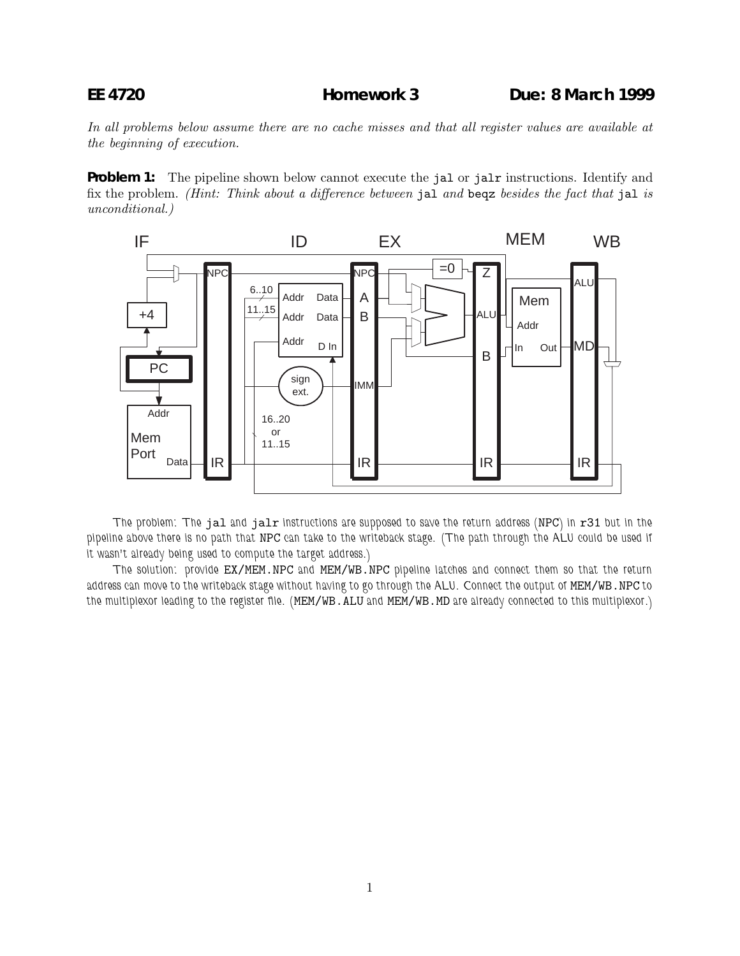In all problems below assume there are no cache misses and that all register values are available at the beginning of execution.

**Problem 1:** The pipeline shown below cannot execute the jal or jalx instructions. Identify and fix the problem. (Hint: Think about a difference between jal and beqz besides the fact that jal is unconditional.)



*The problem: The* jal *and* jalr *instructions are supposed to save the return address (*NPC*) in* r31 *but in the pipeline above there is no path that* NPC *can take to the writeback stage. (The path through the ALU could be used if it wasn't already being used to compute the target address.)*

*The solution: provide* EX/MEM.NPC *and* MEM/WB.NPC *pipeline latches and connect them so that the return address can move to the writeback stage without having to go through the ALU. Connect the output of* MEM/WB.NPC *to the multiplexor leading to the register file. (*MEM/WB.ALU *and* MEM/WB.MD *are already connected to this multiplexor.)*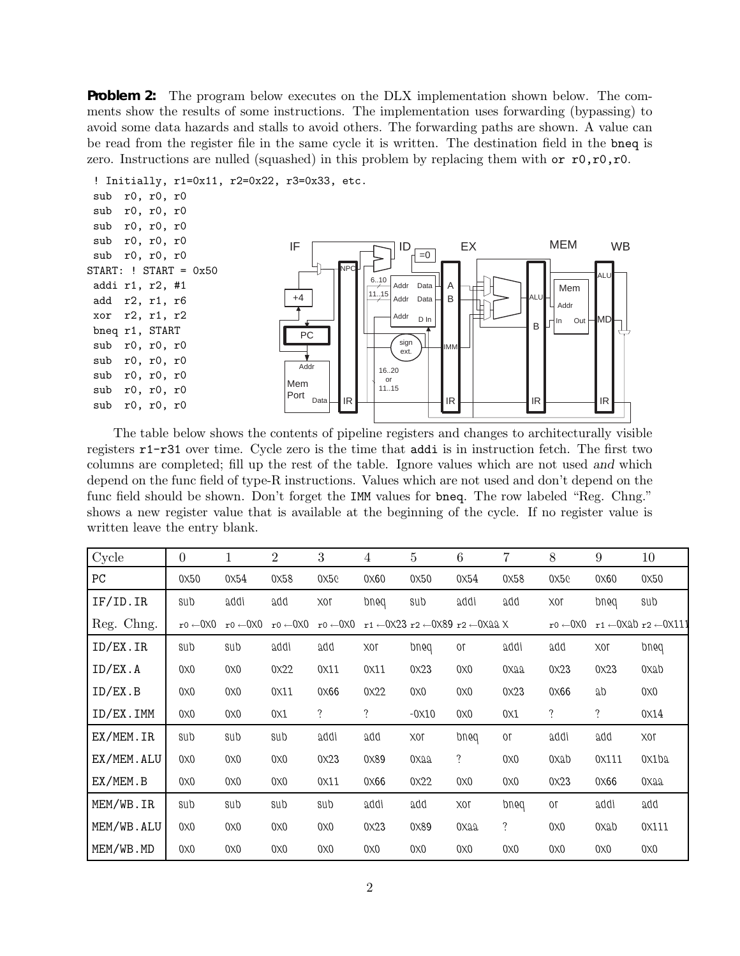**Problem 2:** The program below executes on the DLX implementation shown below. The comments show the results of some instructions. The implementation uses forwarding (bypassing) to avoid some data hazards and stalls to avoid others. The forwarding paths are shown. A value can be read from the register file in the same cycle it is written. The destination field in the bneq is zero. Instructions are nulled (squashed) in this problem by replacing them with or  $r0, r0, r0$ .



The table below shows the contents of pipeline registers and changes to architecturally visible registers r1-r31 over time. Cycle zero is the time that addi is in instruction fetch. The first two columns are completed; fill up the rest of the table. Ignore values which are not used *and* which depend on the func field of type-R instructions. Values which are not used and don't depend on the func field should be shown. Don't forget the IMM values for bneq. The row labeled "Reg. Chng." shows a new register value that is available at the beginning of the cycle. If no register value is written leave the entry blank.

| Cycle      | $\overline{0}$             | 1                          | $\overline{2}$             | 3                          | $\overline{4}$ | $\overline{5}$ | 6                                                                                     | 7    | 8                          | 9          | 10                                                       |
|------------|----------------------------|----------------------------|----------------------------|----------------------------|----------------|----------------|---------------------------------------------------------------------------------------|------|----------------------------|------------|----------------------------------------------------------|
| PC         | 0x50                       | 0x54                       | 0x58                       | 0x50                       | 0x60           | 0x50           | 0x54                                                                                  | 0x58 | 0x5c                       | 0x60       | 0x50                                                     |
| IF/ID. IR  | sub                        | addi                       | add                        | 10X                        | pug            | sub            | addi                                                                                  | add  | 10X                        | pued       | sub                                                      |
| Reg. Chng. | $r0 \leftarrow 0 \times 0$ | $r0 \leftarrow 0 \times 0$ | $r0 \leftarrow 0 \times 0$ | $r0 \leftarrow 0 \times 0$ |                |                | $r1 \leftarrow 0 \times 23$ $r2 \leftarrow 0 \times 89$ $r2 \leftarrow 0 \times 22$ X |      | $r0 \leftarrow 0 \times 0$ |            | $r1 \leftarrow 0 \times 10$ $r2 \leftarrow 0 \times 111$ |
| ID/EX.IR   | sub                        | sub                        | addi                       | add                        | 10X            | pued           | or                                                                                    | addi | add                        | 10X        | pued                                                     |
| ID/EX.A    | 0x0                        | 0x0                        | 0x22                       | 0x11                       | 0x11           | 0x23           | 0x0                                                                                   | 0xaa | 0x23                       | 0x23       | 0xab                                                     |
| ID/EX.B    | 0x0                        | 0x0                        | 0x11                       | 0x66                       | 0x22           | 0x0            | 0x0                                                                                   | 0x23 | 0x66                       | ab         | 0x0                                                      |
| ID/EX.IMM  | 0x0                        | 0x0                        | 0 <sub>X1</sub>            | ?                          | $\ddot{?}$     | $-0x10$        | 0x0                                                                                   | 0x1  | ?                          | $\ddot{?}$ | 0X14                                                     |
| EX/MEM.IR  | sub                        | sub                        | sub                        | addi                       | add            | 10X            | pued                                                                                  | 0ſ   | addi                       | add        | 10X                                                      |
| EX/MEM.ALU | 0x0                        | 0x0                        | 0x0                        | 0x23                       | 0X89           | 0xaa           | $\ddot{?}$                                                                            | 0x0  | 0xab                       | 0X111      | 0x1b2                                                    |
| EX/MEM.B   | 0x0                        | 0x0                        | 0x0                        | 0x11                       | 0x66           | 0x22           | 0x0                                                                                   | 0x0  | 0x23                       | 0x66       | 0Xaa                                                     |
| MEM/WB.IR  | sub                        | sub                        | sub                        | sub                        | addi           | add            | 10X                                                                                   | pued | 0ľ                         | addi       | add                                                      |
| MEM/WB.ALU | 0x0                        | 0x0                        | 0x0                        | 0x0                        | 0x23           | 0X89           | $0x$ aa                                                                               | ?    | 0x0                        | 0xab       | 0X111                                                    |
| MEM/WB.MD  | 0x0                        | 0x0                        | 0x0                        | 0x0                        | 0x0            | 0x0            | 0x0                                                                                   | 0x0  | 0x0                        | 0x0        | 0x0                                                      |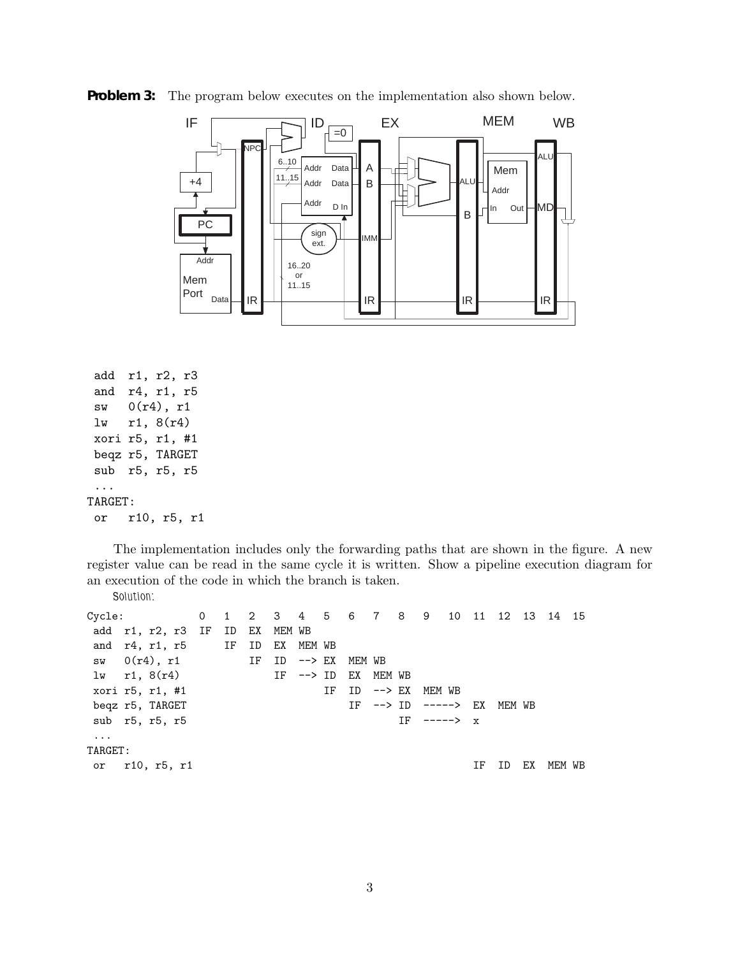

**Problem 3:** The program below executes on the implementation also shown below.

```
add r1, r2, r3
 and r4, r1, r5
 sw 0(r4), r1
 lw r1, 8(r4)
 xori r5, r1, #1
 beqz r5, TARGET
 sub r5, r5, r5
 ...
TARGET:
 or r10, r5, r1
```
The implementation includes only the forwarding paths that are shown in the figure. A new register value can be read in the same cycle it is written. Show a pipeline execution diagram for an execution of the code in which the branch is taken. *Solution:*

```
Cycle: 0 1 2 3 4 5 6 7 8 9 10 11 12 13 14 15
add r1, r2, r3 IF ID EX MEM WB
and r4, r1, r5 IF ID EX MEM WB
sw 0(r4), r1 IF ID --> EX MEM WB
lw r1, 8(r4) IF --> ID EX MEM WB
xori r5, r1, #1 				 IF 		 ID --> EX 		 MEM WB
beqz r5, TARGET IF \leftarrow ID \leftarrow ----> EX MEM WB
sub r5, r5, r5 IF ----> x
...
TARGET:
or r10, r5, r1 IF ID EX MEM WB
```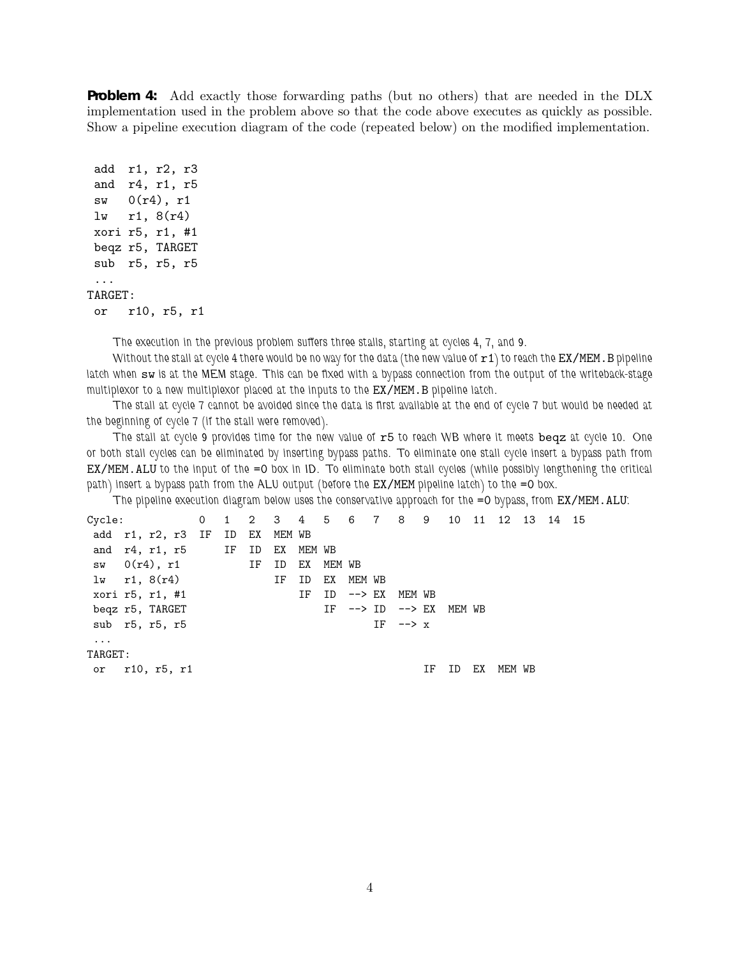**Problem 4:** Add exactly those forwarding paths (but no others) that are needed in the DLX implementation used in the problem above so that the code above executes as quickly as possible. Show a pipeline execution diagram of the code (repeated below) on the modified implementation.

```
add r1, r2, r3
 and r4, r1, r5
 sw 0(r4), r1
 lw r1, 8(r4)
xori r5, r1, #1
 beqz r5, TARGET
 sub r5, r5, r5
 ...
TARGET:
 or r10, r5, r1
```
*The execution in the previous problem suffers three stalls, starting at cycles 4, 7, and 9.*

*Without the stall at cycle 4 there would be no way for the data (the new value of*  $r1$ *) to reach the EX/MEM.B pipeline latch when* sw *is at the MEM stage. This can be fixed with a bypass connection from the output of the writeback-stage multiplexor to a new multiplexor placed at the inputs to the* EX/MEM.B *pipeline latch.*

*The stall at cycle 7 cannot be avoided since the data is first available at the end of cycle 7 but would be needed at the beginning of cycle 7 (if the stall were removed).*

*The stall at cycle 9 provides time for the new value of* r5 *to reach WB where it meets* beqz *at cycle 10. One or both stall cycles can be eliminated by inserting bypass paths. To eliminate one stall cycle insert a bypass path from* EX/MEM.ALU *to the input of the* =0 *box in ID. To eliminate both stall cycles (while possibly lengthening the critical path) insert a bypass path from the ALU output (before the EX/MEM pipeline latch) to the =0 box.* 

*The pipeline execution diagram below uses the conservative approach for the =0 bypass, from EX/MEM.ALU:* 

```
Cycle: 0 1 2 3 4 5 6 7 8 9 10 11 12 13 14 15
add r1, r2, r3 IF ID EX MEM WB
and r4, r1, r5 IF ID EX MEM WB
sw 0(r4), r1 IF ID EX MEM WB
lw r1, 8(r4) IF ID EX MEM WB
xori r5, r1, #1 			 IF ID --> EX MEM WB
beqz r5, TARGET IF --> ID --> EX MEM WB
sub r5, r5, r5 IF \rightarrow x...
TARGET:
or r10, r5, r1 IF ID EX MEM WB
```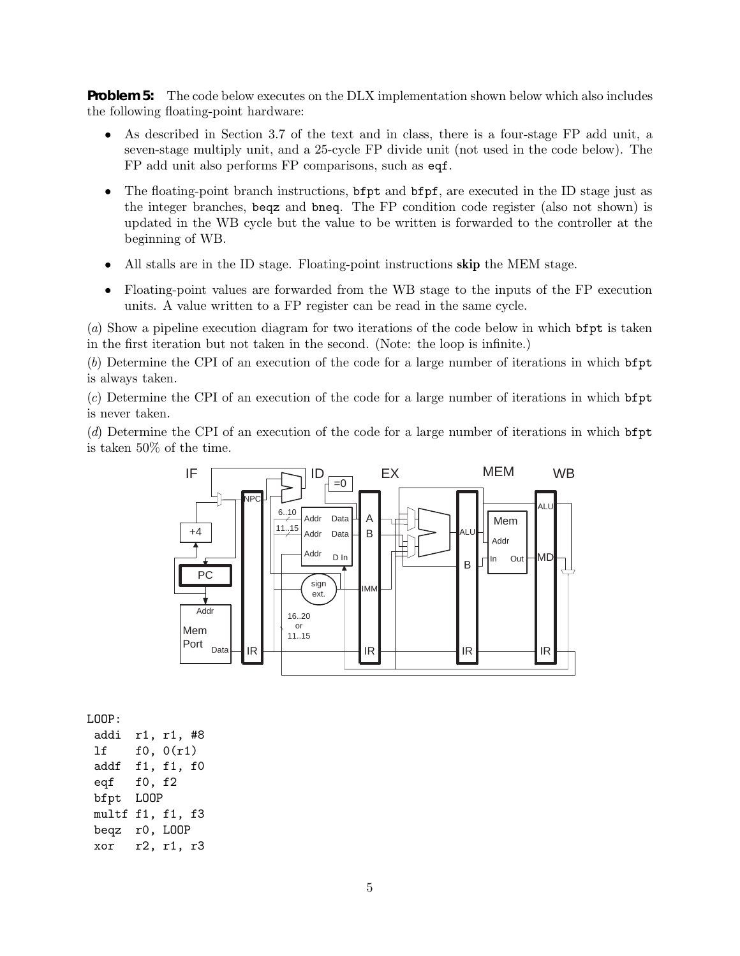**Problem 5:** The code below executes on the DLX implementation shown below which also includes the following floating-point hardware:

- As described in Section 3.7 of the text and in class, there is a four-stage FP add unit, a seven-stage multiply unit, and a 25-cycle FP divide unit (not used in the code below). The FP add unit also performs FP comparisons, such as eqf.
- The floating-point branch instructions, **bfpt** and **bfpf**, are executed in the ID stage just as the integer branches, beqz and bneq. The FP condition code register (also not shown) is updated in the WB cycle but the value to be written is forwarded to the controller at the beginning of WB.
- All stalls are in the ID stage. Floating-point instructions **skip** the MEM stage.
- Floating-point values are forwarded from the WB stage to the inputs of the FP execution units. A value written to a FP register can be read in the same cycle.

(a) Show a pipeline execution diagram for two iterations of the code below in which bfpt is taken in the first iteration but not taken in the second. (Note: the loop is infinite.)

(b) Determine the CPI of an execution of the code for a large number of iterations in which bfpt is always taken.

(c) Determine the CPI of an execution of the code for a large number of iterations in which bfpt is never taken.

(d) Determine the CPI of an execution of the code for a large number of iterations in which bfpt is taken 50% of the time.



LOOP:

addi r1, r1, #8 lf f0, 0(r1) addf f1, f1, f0 eqf f0, f2 bfpt LOOP multf f1, f1, f3 beqz r0, LOOP xor r2, r1, r3